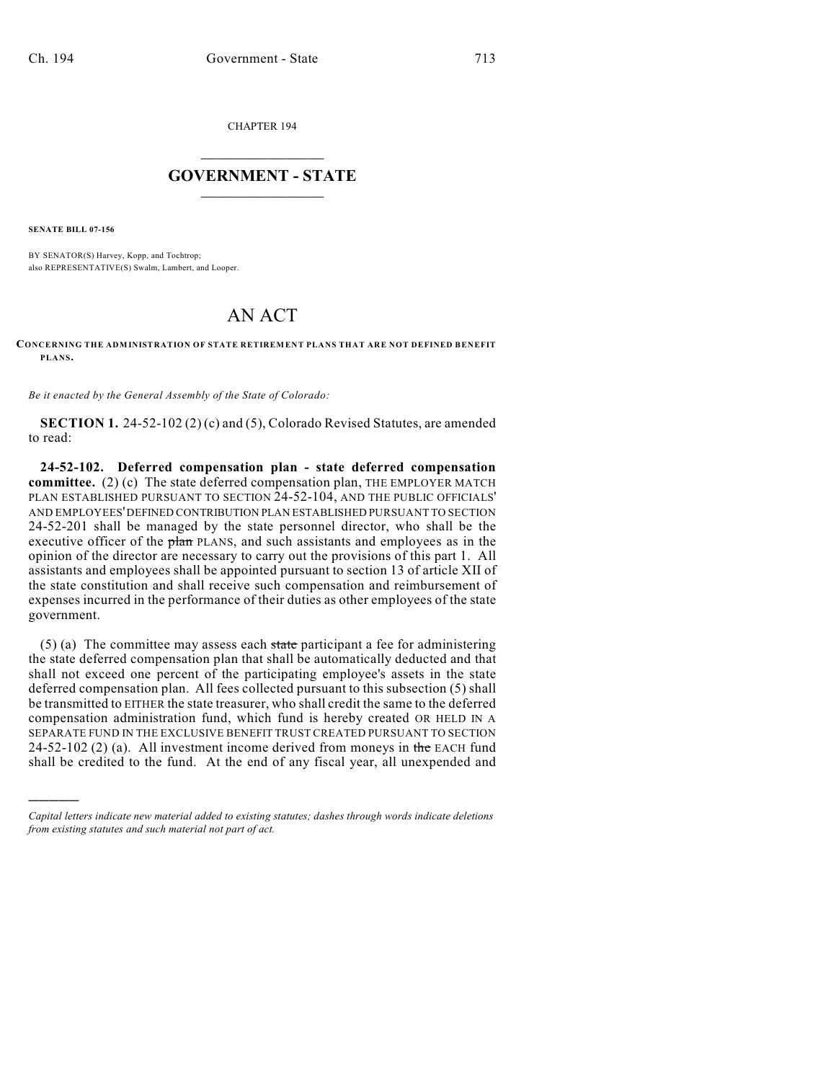CHAPTER 194

## $\mathcal{L}_\text{max}$  . The set of the set of the set of the set of the set of the set of the set of the set of the set of the set of the set of the set of the set of the set of the set of the set of the set of the set of the set **GOVERNMENT - STATE**  $\_$   $\_$   $\_$   $\_$   $\_$   $\_$   $\_$   $\_$   $\_$

**SENATE BILL 07-156**

)))))

BY SENATOR(S) Harvey, Kopp, and Tochtrop; also REPRESENTATIVE(S) Swalm, Lambert, and Looper.

## AN ACT

**CONCERNING THE ADMINISTRATION OF STATE RETIREMENT PLANS THAT ARE NOT DEFINED BENEFIT PLANS.**

*Be it enacted by the General Assembly of the State of Colorado:*

**SECTION 1.** 24-52-102 (2) (c) and (5), Colorado Revised Statutes, are amended to read:

**24-52-102. Deferred compensation plan - state deferred compensation committee.** (2) (c) The state deferred compensation plan, THE EMPLOYER MATCH PLAN ESTABLISHED PURSUANT TO SECTION 24-52-104, AND THE PUBLIC OFFICIALS' AND EMPLOYEES' DEFINED CONTRIBUTION PLAN ESTABLISHED PURSUANT TO SECTION 24-52-201 shall be managed by the state personnel director, who shall be the executive officer of the plan PLANS, and such assistants and employees as in the opinion of the director are necessary to carry out the provisions of this part 1. All assistants and employees shall be appointed pursuant to section 13 of article XII of the state constitution and shall receive such compensation and reimbursement of expenses incurred in the performance of their duties as other employees of the state government.

 $(5)$  (a) The committee may assess each state participant a fee for administering the state deferred compensation plan that shall be automatically deducted and that shall not exceed one percent of the participating employee's assets in the state deferred compensation plan. All fees collected pursuant to this subsection (5) shall be transmitted to EITHER the state treasurer, who shall credit the same to the deferred compensation administration fund, which fund is hereby created OR HELD IN A SEPARATE FUND IN THE EXCLUSIVE BENEFIT TRUST CREATED PURSUANT TO SECTION 24-52-102 (2) (a). All investment income derived from moneys in the EACH fund shall be credited to the fund. At the end of any fiscal year, all unexpended and

*Capital letters indicate new material added to existing statutes; dashes through words indicate deletions from existing statutes and such material not part of act.*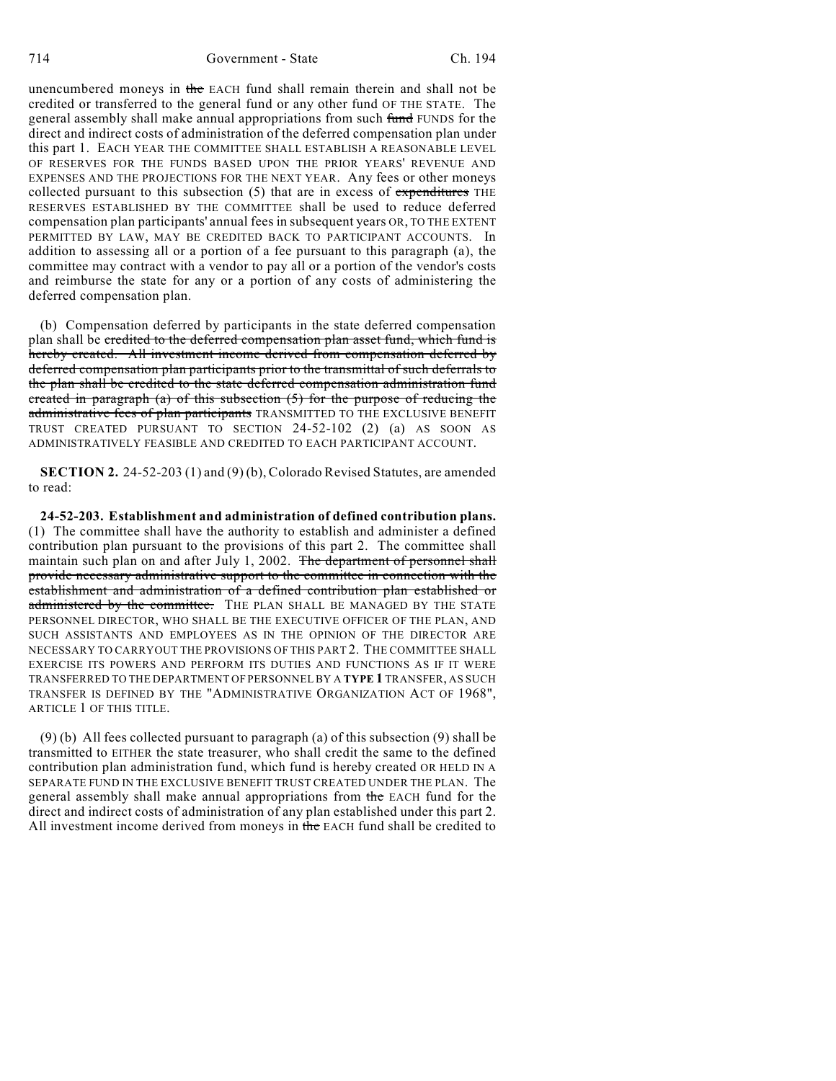unencumbered moneys in the EACH fund shall remain therein and shall not be credited or transferred to the general fund or any other fund OF THE STATE. The general assembly shall make annual appropriations from such fund FUNDS for the direct and indirect costs of administration of the deferred compensation plan under this part 1. EACH YEAR THE COMMITTEE SHALL ESTABLISH A REASONABLE LEVEL OF RESERVES FOR THE FUNDS BASED UPON THE PRIOR YEARS' REVENUE AND EXPENSES AND THE PROJECTIONS FOR THE NEXT YEAR. Any fees or other moneys collected pursuant to this subsection  $(5)$  that are in excess of expenditures THE RESERVES ESTABLISHED BY THE COMMITTEE shall be used to reduce deferred compensation plan participants' annual fees in subsequent years OR, TO THE EXTENT PERMITTED BY LAW, MAY BE CREDITED BACK TO PARTICIPANT ACCOUNTS. In addition to assessing all or a portion of a fee pursuant to this paragraph (a), the committee may contract with a vendor to pay all or a portion of the vendor's costs and reimburse the state for any or a portion of any costs of administering the deferred compensation plan.

(b) Compensation deferred by participants in the state deferred compensation plan shall be credited to the deferred compensation plan asset fund, which fund is hereby created. All investment income derived from compensation deferred by deferred compensation plan participants prior to the transmittal of such deferrals to the plan shall be credited to the state deferred compensation administration fund created in paragraph (a) of this subsection  $(5)$  for the purpose of reducing the administrative fees of plan participants TRANSMITTED TO THE EXCLUSIVE BENEFIT TRUST CREATED PURSUANT TO SECTION 24-52-102 (2) (a) AS SOON AS ADMINISTRATIVELY FEASIBLE AND CREDITED TO EACH PARTICIPANT ACCOUNT.

**SECTION 2.** 24-52-203 (1) and (9) (b), Colorado Revised Statutes, are amended to read:

**24-52-203. Establishment and administration of defined contribution plans.** (1) The committee shall have the authority to establish and administer a defined contribution plan pursuant to the provisions of this part 2. The committee shall maintain such plan on and after July 1, 2002. The department of personnel shall provide necessary administrative support to the committee in connection with the establishment and administration of a defined contribution plan established or administered by the committee. THE PLAN SHALL BE MANAGED BY THE STATE PERSONNEL DIRECTOR, WHO SHALL BE THE EXECUTIVE OFFICER OF THE PLAN, AND SUCH ASSISTANTS AND EMPLOYEES AS IN THE OPINION OF THE DIRECTOR ARE NECESSARY TO CARRYOUT THE PROVISIONS OF THIS PART 2. THE COMMITTEE SHALL EXERCISE ITS POWERS AND PERFORM ITS DUTIES AND FUNCTIONS AS IF IT WERE TRANSFERRED TO THE DEPARTMENT OF PERSONNEL BY A **TYPE 1** TRANSFER, AS SUCH TRANSFER IS DEFINED BY THE "ADMINISTRATIVE ORGANIZATION ACT OF 1968", ARTICLE 1 OF THIS TITLE.

(9) (b) All fees collected pursuant to paragraph (a) of this subsection (9) shall be transmitted to EITHER the state treasurer, who shall credit the same to the defined contribution plan administration fund, which fund is hereby created OR HELD IN A SEPARATE FUND IN THE EXCLUSIVE BENEFIT TRUST CREATED UNDER THE PLAN. The general assembly shall make annual appropriations from the EACH fund for the direct and indirect costs of administration of any plan established under this part 2. All investment income derived from moneys in the EACH fund shall be credited to